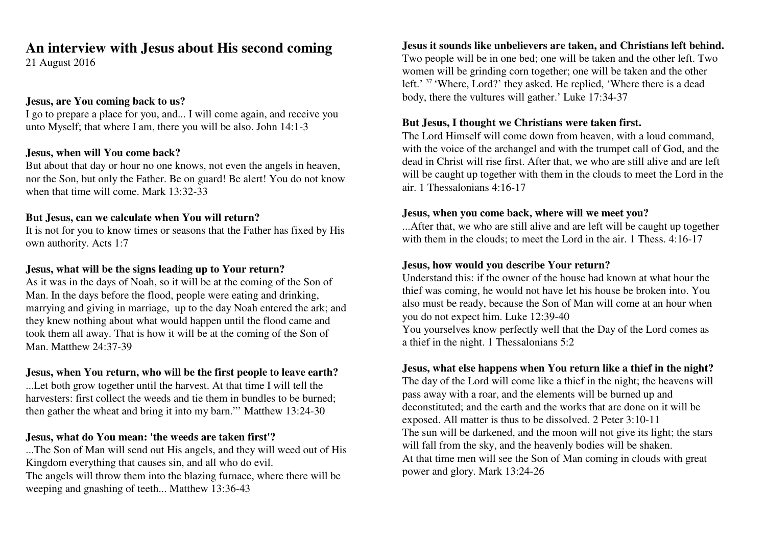# **An interview with Jesus about His second coming**

21 August 2016

#### **Jesus, are You coming back to us?**

 I go to prepare a place for you, and... I will come again, and receive youunto Myself; that where I am, there you will be also. John 14:1-3

## **Jesus, when will You come back?**

 But about that day or hour no one knows, not even the angels in heaven,nor the Son, but only the Father. Be on guard! Be alert! You do not knowwhen that time will come. Mark 13:32-33

## **But Jesus, can we calculate when You will return?**

 It is not for you to know times or seasons that the Father has fixed by Hisown authority. Acts 1:7

## **Jesus, what will be the signs leading up to Your return?**

 As it was in the days of Noah, so it will be at the coming of the Son ofMan. In the days before the flood, people were eating and drinking, marrying and giving in marriage, up to the day Noah entered the ark; andthey knew nothing about what would happen until the flood came and took them all away. That is how it will be at the coming of the Son ofMan. Matthew 24:37-39

# **Jesus, when You return, who will be the first people to leave earth?**

...Let both grow together until the harvest. At that time I will tell the harvesters: first collect the weeds and tie them in bundles to be burned;then gather the wheat and bring it into my barn."' Matthew 13:24-30

# **Jesus, what do You mean: 'the weeds are taken first'?**

 ...The Son of Man will send out His angels, and they will weed out of HisKingdom everything that causes sin, and all who do evil. The angels will throw them into the blazing furnace, where there will beweeping and gnashing of teeth... Matthew 13:36-43

## **Jesus it sounds like unbelievers are taken, and Christians left behind.**

Two people will be in one bed; one will be taken and the other left. Twowomen will be grinding corn together; one will be taken and the otherleft.' <sup>37</sup> 'Where, Lord?' they asked. He replied, 'Where there is a dead body, there the vultures will gather.' Luke 17:34-37

## **But Jesus, I thought we Christians were taken first.**

The Lord Himself will come down from heaven, with a loud command,with the voice of the archangel and with the trumpet call of God, and the dead in Christ will rise first. After that, we who are still alive and are left will be caught up together with them in the clouds to meet the Lord in theair. 1 Thessalonians 4:16-17

## **Jesus, when you come back, where will we meet you?**

 ...After that, we who are still alive and are left will be caught up togetherwith them in the clouds; to meet the Lord in the air. 1 Thess, 4:16-17

## **Jesus, how would you describe Your return?**

 Understand this: if the owner of the house had known at what hour the thief was coming, he would not have let his house be broken into. You also must be ready, because the Son of Man will come at an hour whenyou do not expect him. Luke 12:39-40You yourselves know perfectly well that the Day of the Lord comes as

a thief in the night. 1 Thessalonians 5:2

# **Jesus, what else happens when You return like a thief in the night?**

 The day of the Lord will come like a thief in the night; the heavens willpass away with a roar, and the elements will be burned up and deconstituted; and the earth and the works that are done on it will beexposed. All matter is thus to be dissolved. 2 Peter 3:10-11 The sun will be darkened, and the moon will not give its light; the starswill fall from the sky, and the heavenly bodies will be shaken. At that time men will see the Son of Man coming in clouds with greatpower and glory. Mark 13:24-26